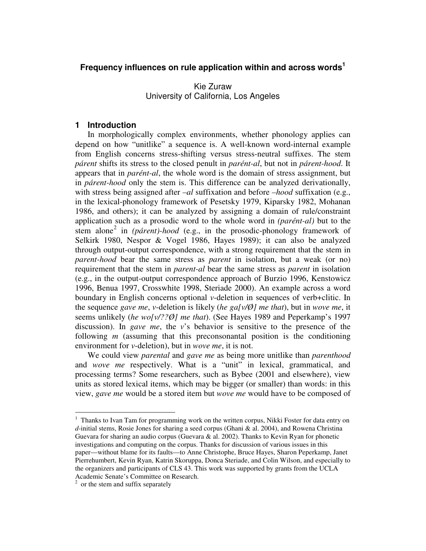# **Frequency influences on rule application within and across words 1**

Kie Zuraw University of California, Los Angeles

## **1 Introduction**

In morphologically complex environments, whether phonology applies can depend on how "unitlike" a sequence is. A well-known word-internal example from English concerns stress-shifting versus stress-neutral suffixes. The stem *párent* shifts its stress to the closed penult in *parént-al*, but not in *párent-hood*. It appears that in *parént-al*, the whole word is the domain of stress assignment, but in *párent-hood* only the stem is. This difference can be analyzed derivationally, with stress being assigned after *–al* suffixation and before *–hood* suffixation (e.g., in the lexical-phonology framework of Pesetsky 1979, Kiparsky 1982, Mohanan 1986, and others); it can be analyzed by assigning a domain of rule/constraint application such as a prosodic word to the whole word in *(parént-al)* but to the stem alone<sup>2</sup> in (párent)-hood (e.g., in the prosodic-phonology framework of Selkirk 1980, Nespor & Vogel 1986, Hayes 1989); it can also be analyzed through output-output correspondence, with a strong requirement that the stem in *parent-hood* bear the same stress as *parent* in isolation, but a weak (or no) requirement that the stem in *parent-al* bear the same stress as *parent* in isolation (e.g., in the output-output correspondence approach of Burzio 1996, Kenstowicz 1996, Benua 1997, Crosswhite 1998, Steriade 2000). An example across a word boundary in English concerns optional *v*-deletion in sequences of verb+clitic. In the sequence *gave me*, *v*-deletion is likely (*he ga[v/Ø] me that*), but in *wove me*, it seems unlikely (*he wo[v/??Ø] me that*). (See Hayes 1989 and Peperkamp's 1997 discussion). In *gave me*, the *v*'s behavior is sensitive to the presence of the following *m* (assuming that this preconsonantal position is the conditioning environment for *v*-deletion), but in *wove me*, it is not.

We could view *parental* and *gave me* as being more unitlike than *parenthood* and *wove me* respectively. What is a "unit" in lexical, grammatical, and processing terms? Some researchers, such as Bybee (2001 and elsewhere), view units as stored lexical items, which may be bigger (or smaller) than words: in this view, *gave me* would be a stored item but *wove me* would have to be composed of

 $1$  Thanks to Ivan Tam for programming work on the written corpus, Nikki Foster for data entry on *d*-initial stems, Rosie Jones for sharing a seed corpus (Ghani & al. 2004), and Rowena Christina Guevara for sharing an audio corpus (Guevara & al. 2002). Thanks to Kevin Ryan for phonetic investigations and computing on the corpus. Thanks for discussion of various issues in this paper—without blame for its faults—to Anne Christophe, Bruce Hayes, Sharon Peperkamp, Janet Pierrehumbert, Kevin Ryan, Katrin Skoruppa, Donca Steriade, and Colin Wilson, and especially to the organizers and participants of CLS 43. This work was supported by grants from the UCLA Academic Senate's Committee on Research.

 $2$  or the stem and suffix separately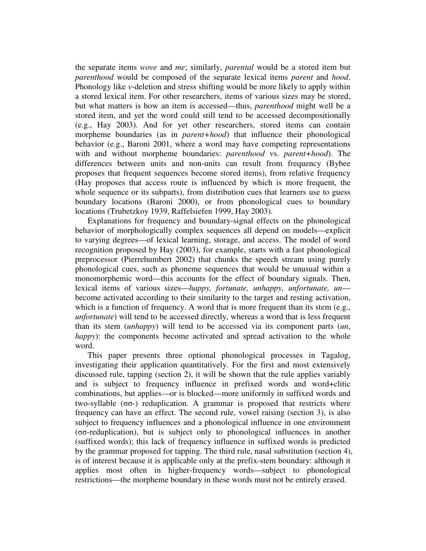the separate items *wove* and *me*; similarly, *parental* would be a stored item but *parenthood* would be composed of the separate lexical items *parent* and *hood*. Phonology like *v*-deletion and stress shifting would be more likely to apply within a stored lexical item. For other researchers, items of various sizes may be stored, but what matters is how an item is accessed—thus, *parenthood* might well be a stored item, and yet the word could still tend to be accessed decompositionally (e.g., Hay 2003). And for yet other researchers, stored items can contain morpheme boundaries (as in *parent+hood*) that influence their phonological behavior (e.g., Baroni 2001, where a word may have competing representations with and without morpheme boundaries: *parenthood* vs. *parent+hood*). The differences between units and non-units can result from frequency (Bybee proposes that frequent sequences become stored items), from relative frequency (Hay proposes that access route is influenced by which is more frequent, the whole sequence or its subparts), from distribution cues that learners use to guess boundary locations (Baroni 2000), or from phonological cues to boundary locations (Trubetzkoy 1939, Raffelsiefen 1999, Hay 2003).

Explanations for frequency and boundary-signal effects on the phonological behavior of morphologically complex sequences all depend on models—explicit to varying degrees—of lexical learning, storage, and access. The model of word recognition proposed by Hay (2003), for example, starts with a fast phonological preprocessor (Pierrehumbert 2002) that chunks the speech stream using purely phonological cues, such as phoneme sequences that would be unusual within a monomorphemic word—this accounts for the effect of boundary signals. Then, lexical items of various sizes—*happy, fortunate, unhappy, unfortunate, un* become activated according to their similarity to the target and resting activation, which is a function of frequency. A word that is more frequent than its stem (e.g., *unfortunate*) will tend to be accessed directly, whereas a word that is less frequent than its stem (*unhappy*) will tend to be accessed via its component parts (*un*, *happy*): the components become activated and spread activation to the whole word.

This paper presents three optional phonological processes in Tagalog, investigating their application quantitatively. For the first and most extensively discussed rule, tapping (section 2), it will be shown that the rule applies variably and is subject to frequency influence in prefixed words and word+clitic combinations, but applies—or is blocked—more uniformly in suffixed words and two-syllable  $(\sigma\sigma)$  reduplication. A grammar is proposed that restricts where frequency can have an effect. The second rule, vowel raising (section 3), is also subject to frequency influences and a phonological influence in one environment  $(\sigma\sigma$ -reduplication), but is subject only to phonological influences in another (suffixed words); this lack of frequency influence in suffixed words is predicted by the grammar proposed for tapping. The third rule, nasal substitution (section 4), is of interest because it is applicable only at the prefix-stem boundary: although it applies most often in higher-frequency words—subject to phonological restrictions—the morpheme boundary in these words must not be entirely erased.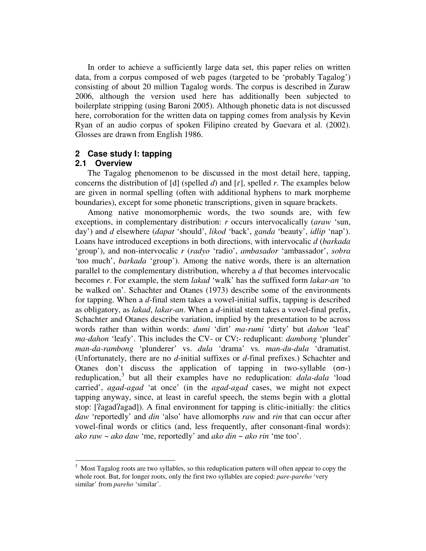In order to achieve a sufficiently large data set, this paper relies on written data, from a corpus composed of web pages (targeted to be 'probably Tagalog') consisting of about 20 million Tagalog words. The corpus is described in Zuraw 2006, although the version used here has additionally been subjected to boilerplate stripping (using Baroni 2005). Although phonetic data is not discussed here, corroboration for the written data on tapping comes from analysis by Kevin Ryan of an audio corpus of spoken Filipino created by Guevara et al. (2002). Glosses are drawn from English 1986.

# **2 Case study I: tapping**

# **2.1 Overview**

The Tagalog phenomenon to be discussed in the most detail here, tapping, concerns the distribution of  $[d]$  (spelled *d*) and  $[r]$ , spelled *r*. The examples below are given in normal spelling (often with additional hyphens to mark morpheme boundaries), except for some phonetic transcriptions, given in square brackets.

Among native monomorphemic words, the two sounds are, with few exceptions, in complementary distribution: *r* occurs intervocalically (*araw* 'sun, day') and *d* elsewhere (*dapat* 'should', *likod* 'back', *ganda* 'beauty', *idlip* 'nap'). Loans have introduced exceptions in both directions, with intervocalic *d* (*barkada* 'group'), and non-intervocalic *r* (*radyo* 'radio', *ambasador* 'ambassador', *sobra* 'too much', *barkada* 'group'). Among the native words, there is an alternation parallel to the complementary distribution, whereby a *d* that becomes intervocalic becomes *r*. For example, the stem *lakad* 'walk' has the suffixed form *lakar-an* 'to be walked on'. Schachter and Otanes (1973) describe some of the environments for tapping. When a *d*-final stem takes a vowel-initial suffix, tapping is described as obligatory, as *lakad*, *lakar-an*. When a *d*-initial stem takes a vowel-final prefix, Schachter and Otanes describe variation, implied by the presentation to be across words rather than within words: *dumi* 'dirt' *ma-rumi* 'dirty' but *dahon* 'leaf' ma-dahon 'leafy'. This includes the CV- or CV:- reduplicant: *dambong* 'plunder' *man-da-rambong* 'plunderer' vs. *dula* 'drama' vs. *man-du-dula* 'dramatist. (Unfortunately, there are no *d*-initial suffixes or *d*-final prefixes.) Schachter and Otanes don't discuss the application of tapping in two-syllable  $(\sigma\sigma)$ reduplication, 3 but all their examples have no reduplication: *dala-dala* 'load carried', *agad-agad* 'at once' (in the *agad-agad* cases, we might not expect tapping anyway, since, at least in careful speech, the stems begin with a glottal stop:  $[2\text{agad}2\text{agad}]$ ). A final environment for tapping is clitic-initially: the clitics *daw* 'reportedly' and *din* 'also' have allomorphs *raw* and *rin* that can occur after vowel-final words or clitics (and, less frequently, after consonant-final words): *ako raw* ~ *ako daw* 'me, reportedly' and *ako din ~ ako rin* 'me too'.

<sup>3</sup> Most Tagalog roots are two syllables, so this reduplication pattern will often appear to copy the whole root. But, for longer roots, only the first two syllables are copied: *pare-pareho* 'very similar' from *pareho* 'similar'.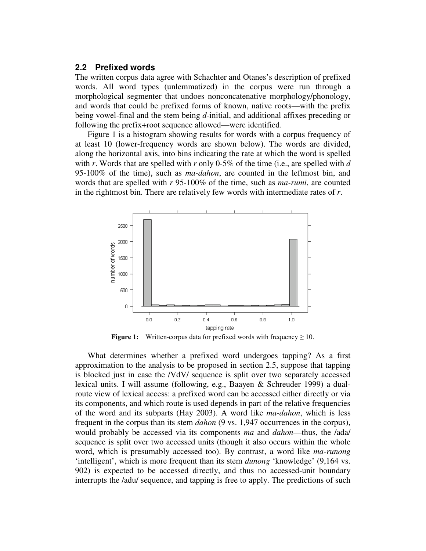# **2.2 Prefixed words**

The written corpus data agree with Schachter and Otanes's description of prefixed words. All word types (unlemmatized) in the corpus were run through a morphological segmenter that undoes nonconcatenative morphology/phonology, and words that could be prefixed forms of known, native roots—with the prefix being vowel-final and the stem being *d*-initial, and additional affixes preceding or following the prefix+root sequence allowed—were identified.

Figure 1 is a histogram showing results for words with a corpus frequency of at least 10 (lower-frequency words are shown below). The words are divided, along the horizontal axis, into bins indicating the rate at which the word is spelled with *r*. Words that are spelled with *r* only 0-5% of the time (i.e., are spelled with *d* 95-100% of the time), such as *ma-dahon*, are counted in the leftmost bin, and words that are spelled with *r* 95-100% of the time, such as *ma-rumi*, are counted in the rightmost bin. There are relatively few words with intermediate rates of *r*.



**Figure 1:** Written-corpus data for prefixed words with frequency  $\geq 10$ .

What determines whether a prefixed word undergoes tapping? As a first approximation to the analysis to be proposed in section 2.5, suppose that tapping is blocked just in case the /VdV/ sequence is split over two separately accessed lexical units. I will assume (following, e.g., Baayen & Schreuder 1999) a dualroute view of lexical access: a prefixed word can be accessed either directly or via its components, and which route is used depends in part of the relative frequencies of the word and its subparts (Hay 2003). A word like *ma-dahon*, which is less frequent in the corpus than its stem *dahon* (9 vs. 1,947 occurrences in the corpus), would probably be accessed via its components *ma* and *dahon*—thus, the /ada/ sequence is split over two accessed units (though it also occurs within the whole word, which is presumably accessed too). By contrast, a word like *ma-runong* 'intelligent', which is more frequent than its stem *dunong* 'knowledge' (9,164 vs. 902) is expected to be accessed directly, and thus no accessed-unit boundary interrupts the /adu/ sequence, and tapping is free to apply. The predictions of such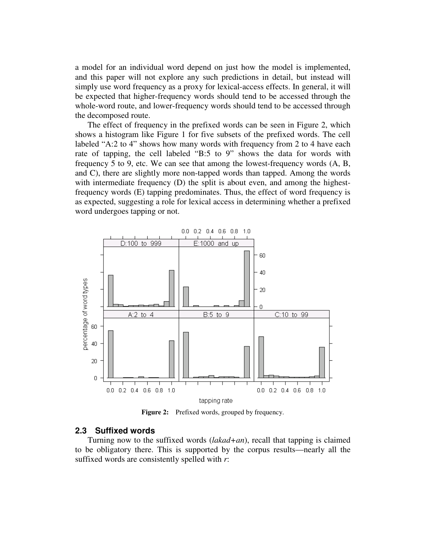a model for an individual word depend on just how the model is implemented, and this paper will not explore any such predictions in detail, but instead will simply use word frequency as a proxy for lexical-access effects. In general, it will be expected that higher-frequency words should tend to be accessed through the whole-word route, and lower-frequency words should tend to be accessed through the decomposed route.

The effect of frequency in the prefixed words can be seen in Figure 2, which shows a histogram like Figure 1 for five subsets of the prefixed words. The cell labeled "A:2 to 4" shows how many words with frequency from 2 to 4 have each rate of tapping, the cell labeled "B:5 to 9" shows the data for words with frequency 5 to 9, etc. We can see that among the lowest-frequency words (A, B, and C), there are slightly more non-tapped words than tapped. Among the words with intermediate frequency (D) the split is about even, and among the highestfrequency words (E) tapping predominates. Thus, the effect of word frequency is as expected, suggesting a role for lexical access in determining whether a prefixed word undergoes tapping or not.



**Figure 2:** Prefixed words, grouped by frequency.

## **2.3 Suffixed words**

Turning now to the suffixed words (*lakad+an*), recall that tapping is claimed to be obligatory there. This is supported by the corpus results—nearly all the suffixed words are consistently spelled with *r*: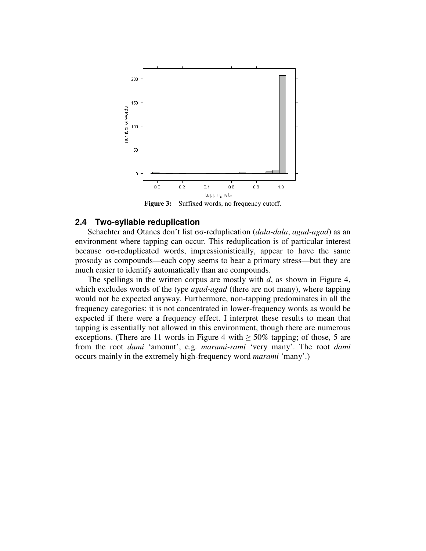

**Figure 3:** Suffixed words, no frequency cutoff.

# **2.4 Two-syllable reduplication**

Schachter and Otanes don't list  $\sigma\sigma$ -reduplication (*dala-dala*, *agad-agad*) as an environment where tapping can occur. This reduplication is of particular interest because  $\sigma$ -reduplicated words, impressionistically, appear to have the same prosody as compounds—each copy seems to bear a primary stress—but they are much easier to identify automatically than are compounds.

The spellings in the written corpus are mostly with *d*, as shown in Figure 4, which excludes words of the type *agad-agad* (there are not many), where tapping would not be expected anyway. Furthermore, non-tapping predominates in all the frequency categories; it is not concentrated in lower-frequency words as would be expected if there were a frequency effect. I interpret these results to mean that tapping is essentially not allowed in this environment, though there are numerous exceptions. (There are 11 words in Figure 4 with  $\geq 50\%$  tapping; of those, 5 are from the root *dami* 'amount', e.g. *marami-rami* 'very many'. The root *dami* occurs mainly in the extremely high-frequency word *marami* 'many'.)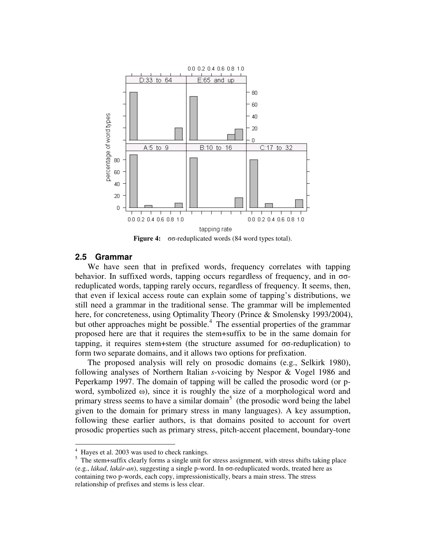

**Figure 4:**  $\sigma\sigma$ -reduplicated words (84 word types total).

# **2.5 Grammar**

We have seen that in prefixed words, frequency correlates with tapping behavior. In suffixed words, tapping occurs regardless of frequency, and in  $\sigma\sigma$ reduplicated words, tapping rarely occurs, regardless of frequency. It seems, then, that even if lexical access route can explain some of tapping's distributions, we still need a grammar in the traditional sense. The grammar will be implemented here, for concreteness, using Optimality Theory (Prince & Smolensky 1993/2004), but other approaches might be possible. 4 The essential properties of the grammar proposed here are that it requires the stem+suffix to be in the same domain for tapping, it requires stem+stem (the structure assumed for  $\sigma\sigma$ -reduplication) to form two separate domains, and it allows two options for prefixation.

The proposed analysis will rely on prosodic domains (e.g., Selkirk 1980), following analyses of Northern Italian *s*-voicing by Nespor & Vogel 1986 and Peperkamp 1997. The domain of tapping will be called the prosodic word (or pword, symbolized  $\omega$ ), since it is roughly the size of a morphological word and primary stress seems to have a similar domain<sup>5</sup> (the prosodic word being the label given to the domain for primary stress in many languages). A key assumption, following these earlier authors, is that domains posited to account for overt prosodic properties such as primary stress, pitch-accent placement, boundary-tone

Hayes et al. 2003 was used to check rankings.

 $<sup>5</sup>$  The stem+suffix clearly forms a single unit for stress assignment, with stress shifts taking place</sup>  $(e.g., *lákad*, *lakár-an*), suggesting a single p-word. In  $\sigma\sigma$ -reduplied words, treated here as$ containing two p-words, each copy, impressionistically, bears a main stress. The stress relationship of prefixes and stems is less clear.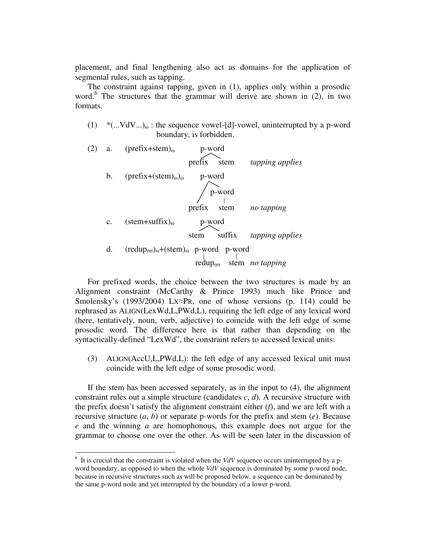placement, and final lengthening also act as domains for the application of segmental rules, such as tapping.

The constraint against tapping, given in (1), applies only within a prosodic word. 6 The structures that the grammar will derive are shown in (2), in two formats.

- (1)  $*(...VdV...)$ <sub>0</sub>: the sequence vowel-[d]-vowel, uninterrupted by a p-word boundary, is forbidden.
- (2) a.  $(prefix+stem)_0$  p-word prefix stem *tapping applies* b.  $(\text{prefix}+(stem)_{0})_{0}$  p-word p-word prefix stem *no tapping* c.  $(\text{stem+suffix})_{\omega}$  p-word stem suffix *tapping applies* d.  $(\text{redup}_{\sigma\sigma})_{\omega}+(\text{stem})_{\omega}$  p-word p-word  $\int_{\text{redup}_{\sigma\sigma}}^{\text{l}} \frac{1}{\text{stem}}$  *no tapping*

For prefixed words, the choice between the two structures is made by an Alignment constraint (McCarthy & Prince 1993) much like Prince and Smolensky's (1993/2004) Lx $\approx$ PR, one of whose versions (p. 114) could be rephrased as ALIGN(LexWd,L,PWd,L), requiring the left edge of any lexical word (here, tentatively, noun, verb, adjective) to coincide with the left edge of some prosodic word. The difference here is that rather than depending on the syntactically-defined "LexWd", the constraint refers to accessed lexical units:

(3) ALIGN(AccU,L,PWd,L): the left edge of any accessed lexical unit must coincide with the left edge of some prosodic word.

If the stem has been accessed separately, as in the input to (4), the alignment constraint rules out a simple structure (candidates *c*, *d*). A recursive structure with the prefix doesn't satisfy the alignment constraint either (*f*), and we are left with a recursive structure (*a*, *b*) or separate p-words for the prefix and stem (*e*). Because *e* and the winning *a* are homophonous, this example does not argue for the grammar to choose one over the other. As will be seen later in the discussion of

<sup>&</sup>lt;sup>6</sup> It is crucial that the constraint is violated when the *VdV* sequence occurs uninterrupted by a pword boundary, as opposed to when the whole *VdV* sequence is dominated by some p-word node, because in recursive structures such as will be proposed below, a sequence can be dominated by the same p-word node and yet interrupted by the boundary of a lower p-word.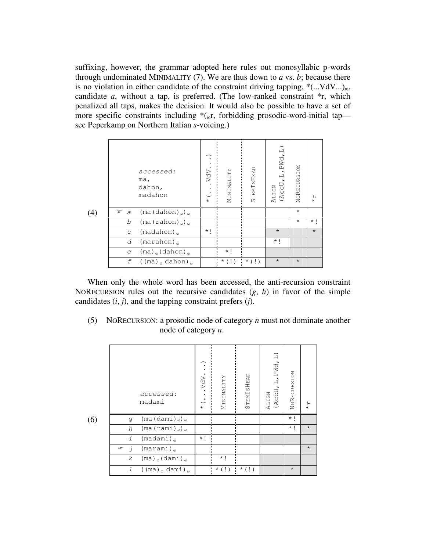suffixing, however, the grammar adopted here rules out monosyllabic p-words through undominated MINIMALITY (7). We are thus down to *a* vs. *b*; because there is no violation in either candidate of the constraint driving tapping,  $*(...VdV...)_\omega$ , candidate *a*, without a tap, is preferred. (The low-ranked constraint \*r, which penalized all taps, makes the decision. It would also be possible to have a set of more specific constraints including  $*(\sigma, r, f, r)$ , forbidding prosodic-word-initial tap see Peperkamp on Northern Italian *s*-voicing.)

|     |                     | accessed:<br>ma,<br>dahon,<br>madahon     | VdV<br>$\star$ | MINIMALITY | <b>STEMISHEAD</b> | PWd, L)<br>言<br>(AccU<br>ALIGN | NORECURSION | я<br>$\star$ |
|-----|---------------------|-------------------------------------------|----------------|------------|-------------------|--------------------------------|-------------|--------------|
| (4) | ☞<br>$\overline{a}$ | $(ma (dahon)_{\omega})_{\omega}$          |                |            |                   |                                | $\star$     |              |
|     | b                   | $(ma (rahon)_{\omega})_{\omega}$          |                |            |                   |                                | $\star$     | $\star$ 1    |
|     | $\mathcal{C}$       | (madahon)                                 | $\star$ 1      |            |                   | $\star$                        |             | $\star$      |
|     | d                   | $(\text{marahon})$                        |                |            |                   | $\star$ 1                      |             |              |
|     | e                   | $(ma)$ <sub>(a</sub> (dahon) <sub>0</sub> |                | $\star$ 1  |                   |                                |             |              |
|     | f                   | ((ma) <sub>ω</sub> dahon) <sub>ω</sub>    |                | $*$ (!)    | ÷<br>$\star$ (!)  | $\star$                        | $\star$     |              |

When only the whole word has been accessed, the anti-recursion constraint NORECURSION rules out the recursive candidates (*g*, *h*) in favor of the simple candidates (*i*, *j*), and the tapping constraint prefers (*j*).

(5) NORECURSION: a prosodic node of category *n* must not dominate another node of category *n*.

|     |                | accessed:<br>madami                                         | VdV<br>$\star$ | MINIMALITY  | STEMISHEAD  | PWd, L)<br>(AccU<br><b>ALIGN</b> | NORECURSION | $\stackrel{\textstyle{+}}{\star}$ |
|-----|----------------|-------------------------------------------------------------|----------------|-------------|-------------|----------------------------------|-------------|-----------------------------------|
| (6) | q              | $(ma (dami)_{\omega})_{\omega}$                             |                |             |             |                                  | $\star$ 1   |                                   |
|     | h              | $(max(rami)_{\omega})_{\omega}$                             |                |             |             |                                  | $\star$ 1   | $\star$                           |
|     | $\mathbf{1}$   | (madami)                                                    | $\star$ 1      |             |             |                                  |             |                                   |
|     | ☞<br>$\vec{v}$ | $(\text{marami})$                                           |                |             |             |                                  |             | $\star$                           |
|     | k              | $(ma)$ <sub>ω</sub> (dami) <sub>ω</sub>                     |                | $\star$ 1   |             |                                  |             |                                   |
|     | $\overline{1}$ | $(\text{ma})_{\omega}$ dami) <sub><math>\omega</math></sub> |                | $\star$ (!) | $\star$ (!) |                                  | $\star$     |                                   |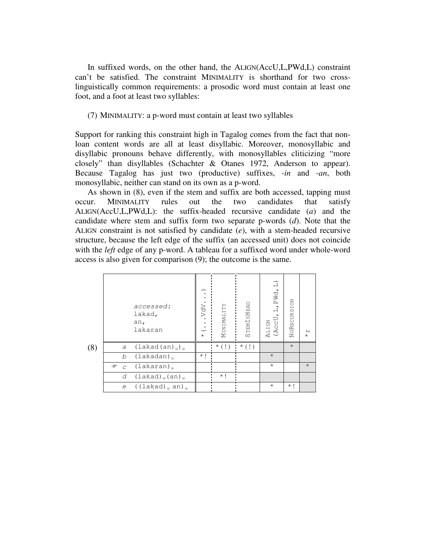In suffixed words, on the other hand, the ALIGN(AccU,L,PWd,L) constraint can't be satisfied. The constraint MINIMALITY is shorthand for two crosslinguistically common requirements: a prosodic word must contain at least one foot, and a foot at least two syllables:

## (7) MINIMALITY: a p-word must contain at least two syllables

Support for ranking this constraint high in Tagalog comes from the fact that nonloan content words are all at least disyllabic. Moreover, monosyllabic and disyllabic pronouns behave differently, with monosyllables cliticizing "more closely" than disyllables (Schachter & Otanes 1972, Anderson to appear). Because Tagalog has just two (productive) suffixes, *-in* and *-an*, both monosyllabic, neither can stand on its own as a p-word.

As shown in (8), even if the stem and suffix are both accessed, tapping must occur. MINIMALITY rules out the two candidates that satisfy ALIGN(AccU,L,PWd,L): the suffix-headed recursive candidate (*a*) and the candidate where stem and suffix form two separate p-words (*d*). Note that the ALIGN constraint is not satisfied by candidate (*e*), with a stem-headed recursive structure, because the left edge of the suffix (an accessed unit) does not coincide with the *left* edge of any p-word. A tableau for a suffixed word under whole-word access is also given for comparison (9); the outcome is the same.

|     |                     | accessed:<br>lakad,<br>an,<br>lakaran   | VdV<br>$\dot{\mathcal{C}}$<br>$\star$ | MINIMALITY  | STEMISHEAD  | PWd, L)<br>ᅼ<br>(AccU<br><b>ALIGN</b> | NORECURSION | $\mathsf{H}$<br>$\star$ |
|-----|---------------------|-----------------------------------------|---------------------------------------|-------------|-------------|---------------------------------------|-------------|-------------------------|
| (8) | a                   | $(lakad(an))_0$                         |                                       | $\star$ (!) | $\star$ (!) |                                       | $\star$     |                         |
|     | b                   | (lakadan)                               | $\star$ 1                             |             |             | $\star$                               |             |                         |
|     | ☞<br>$\overline{C}$ | (lakaran)                               |                                       |             |             | $\star$                               |             | $\star$                 |
|     | d                   | $(lakad)_{\omega}$ (an) $_{\omega}$     |                                       | $\star$ !   |             |                                       |             |                         |
|     | $\epsilon$          | $($ (lakad) $_{\omega}$ an) $_{\omega}$ |                                       |             |             | $\star$                               | $\star$ 1   |                         |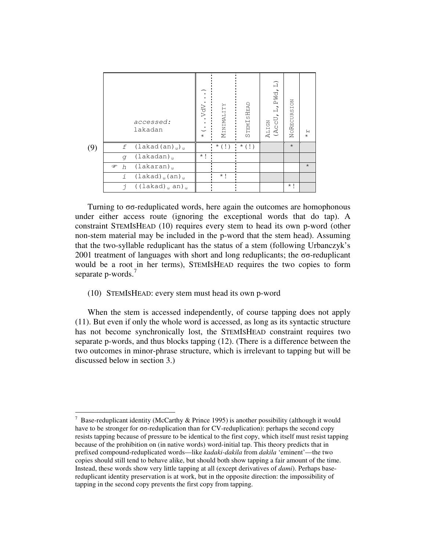|     |           | accessed:<br>lakadan                    | VdV<br>$\bullet$<br>$\dot{\mathcal{C}}$<br>$\star$ | MINIMALITY | STEMISHEAD       | PWd, L)<br>$\overline{u}$<br>(AccU<br><b>ALIGN</b> | NORECURSION | $\star$ $\star$ |
|-----|-----------|-----------------------------------------|----------------------------------------------------|------------|------------------|----------------------------------------------------|-------------|-----------------|
| (9) | f         | $(lakad(an)_{\omega})_{\omega}$         |                                                    | $*$ (!)    | ÷<br>$\star$ (!) |                                                    | $\star$     |                 |
|     | q         | (lakadan)                               | $\star$ 1                                          |            |                  |                                                    |             |                 |
|     | ☞<br>h    | (lakaran)                               |                                                    |            |                  |                                                    |             | $\star$         |
|     | i         | $(lakad)_{\omega}$ (an) $_{\omega}$     |                                                    | $\star$ !  |                  |                                                    |             |                 |
|     | $\vec{1}$ | $($ (lakad) $_{\omega}$ an) $_{\omega}$ |                                                    |            |                  |                                                    | $\star$ 1   |                 |

Turning to  $\sigma$ -reduplicated words, here again the outcomes are homophonous under either access route (ignoring the exceptional words that do tap). A constraint STEMISHEAD (10) requires every stem to head its own p-word (other non-stem material may be included in the p-word that the stem head). Assuming that the two-syllable reduplicant has the status of a stem (following Urbanczyk's 2001 treatment of languages with short and long reduplicants; the  $\sigma\sigma$ -reduplicant would be a root in her terms), STEMISHEAD requires the two copies to form separate p-words.<sup>7</sup>

# (10) STEMISHEAD: every stem must head its own p-word

When the stem is accessed independently, of course tapping does not apply (11). But even if only the whole word is accessed, as long as its syntactic structure has not become synchronically lost, the STEMISHEAD constraint requires two separate p-words, and thus blocks tapping (12). (There is a difference between the two outcomes in minor-phrase structure, which is irrelevant to tapping but will be discussed below in section 3.)

<sup>&</sup>lt;sup>7</sup> Base-reduplicant identity (McCarthy & Prince 1995) is another possibility (although it would have to be stronger for  $\sigma\sigma$ -reduplication than for CV-reduplication): perhaps the second copy resists tapping because of pressure to be identical to the first copy, which itself must resist tapping because of the prohibition on (in native words) word-initial tap. This theory predicts that in prefixed compound-reduplicated words—like *kadaki-dakila* from *dakila* 'eminent'—the two copies should still tend to behave alike, but should both show tapping a fair amount of the time. Instead, these words show very little tapping at all (except derivatives of *dami*). Perhaps basereduplicant identity preservation is at work, but in the opposite direction: the impossibility of tapping in the second copy prevents the first copy from tapping.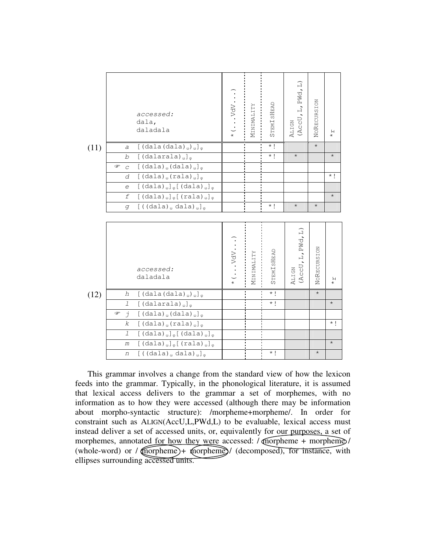|      |                    | accessed:<br>dala,<br>daladala                                                | . VdV.<br>$\star$ | NINIMALITY<br>j. | STEMISHEAD | PWd, L)<br>$\frac{1}{1}$<br>(AccU<br>ALIGN | NORECURSION | Я<br>$\star$ |
|------|--------------------|-------------------------------------------------------------------------------|-------------------|------------------|------------|--------------------------------------------|-------------|--------------|
| (11) | a                  | $[(dala(dala)_{\omega})_{\omega}]_{\varphi}$                                  |                   |                  | $\star$ !  |                                            | $\star$     |              |
|      | b                  | $[$ (dalarala) <sub><math>\omega</math></sub> ] <sub><math>\circ</math></sub> |                   |                  | $\star$ 1  | $\star$                                    |             | $\star$      |
|      | ☞<br>$\mathcal{C}$ | $[(dala)_{\omega}(dala)_{\omega}]_{\omega}$                                   |                   |                  |            |                                            |             |              |
|      | d                  | $[ (dala)_{\omega} (rala)_{\omega}]_{\varphi}$                                |                   |                  |            |                                            |             | $\star$ 1    |
|      | e                  | $[(dala)_{\omega}]_{\varphi}[(dala)_{\omega}]_{\varphi}$                      |                   |                  |            |                                            |             |              |
|      | f                  | $[(dala)_{\omega}]_{\varphi}[(rala)_{\omega}]_{\varphi}$                      |                   |                  |            |                                            |             | $\star$      |
|      | q                  | $[((dala)_{\omega} dala)_{\omega}]_{\varphi}$                                 |                   |                  | $\star$ !  | $\star$                                    | $\star$     |              |
|      |                    |                                                                               |                   |                  |            |                                            |             |              |
|      |                    |                                                                               |                   | $\blacksquare$   | $\bullet$  |                                            |             |              |

|      |                   | accessed:<br>daladala                                                           | . vdv.<br>$\star$ | MINIMALITY | STEMISHEAD | L, PWd, L)<br>(AccU<br>ALIGN | NORECURSION | $\mathsf{H}$<br>$\star$ |
|------|-------------------|---------------------------------------------------------------------------------|-------------------|------------|------------|------------------------------|-------------|-------------------------|
| (12) | h                 | $[(dala(dala)_{\omega})_{\omega}]_{\varphi}$                                    |                   |            | $\star$ !  |                              | $\star$     |                         |
|      | $\mathcal{I}$     | $[$ (dalarala) <sub><math>\omega</math></sub> ] <sub><math>\varphi</math></sub> |                   |            | $\star$ 1  |                              |             | $\star$                 |
|      | ☞<br>$\vec{\tau}$ | $\left[$ (dala) (dala) (                                                        |                   |            |            |                              |             |                         |
|      | $\boldsymbol{k}$  | $[(dala)_{\omega}(rala)_{\omega}]_{\varphi}$                                    |                   |            |            |                              |             | $\star$ 1               |
|      | $\perp$           | $[(dala)_{\omega}]_{\varphi}[(dala)_{\omega}]_{\varphi}$                        |                   |            |            |                              |             |                         |
|      | m                 | $[(\text{dala})_{\omega}]_{\varphi}[(\text{rala})_{\omega}]_{\varphi}$          |                   |            |            |                              |             | $\star$                 |
|      |                   |                                                                                 |                   |            |            |                              |             |                         |

This grammar involves a change from the standard view of how the lexicon feeds into the grammar. Typically, in the phonological literature, it is assumed that lexical access delivers to the grammar a set of morphemes, with no information as to how they were accessed (although there may be information about morpho-syntactic structure): /morpheme+morpheme/. In order for constraint such as ALIGN(AccU,L,PWd,L) to be evaluable, lexical access must instead deliver a set of accessed units, or, equivalently for our purposes, a set of morphemes, annotated for how they were accessed: / morpheme + morpheme / (whole-word) or  $/$  (morpheme) + morpheme) $/$  (decomposed), for instance, with ellipses surrounding accessed units.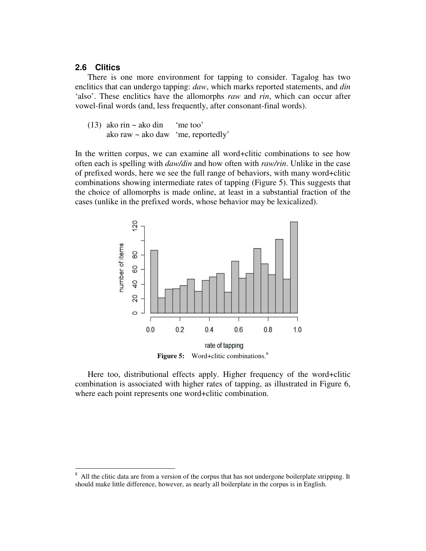# **2.6 Clitics**

There is one more environment for tapping to consider. Tagalog has two enclitics that can undergo tapping: *daw*, which marks reported statements, and *din* 'also'. These enclitics have the allomorphs *raw* and *rin*, which can occur after vowel-final words (and, less frequently, after consonant-final words).

(13) ako rin  $\sim$  ako din 'me too' ako raw ~ ako daw 'me, reportedly'

In the written corpus, we can examine all word+clitic combinations to see how often each is spelling with *daw/din* and how often with *raw/rin*. Unlike in the case of prefixed words, here we see the full range of behaviors, with many word+clitic combinations showing intermediate rates of tapping (Figure 5). This suggests that the choice of allomorphs is made online, at least in a substantial fraction of the cases (unlike in the prefixed words, whose behavior may be lexicalized).



**Figure 5:** Word+clitic combinations.<sup>8</sup>

Here too, distributional effects apply. Higher frequency of the word+clitic combination is associated with higher rates of tapping, as illustrated in Figure 6, where each point represents one word+clitic combination.

<sup>&</sup>lt;sup>8</sup> All the clitic data are from a version of the corpus that has not undergone boilerplate stripping. It should make little difference, however, as nearly all boilerplate in the corpus is in English.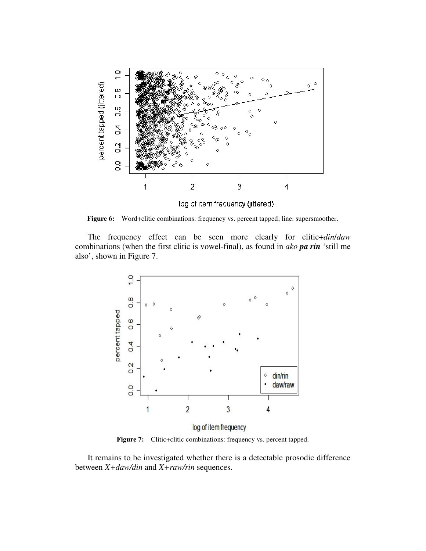

**Figure 6:** Word+clitic combinations: frequency vs. percent tapped; line: supersmoother.

The frequency effect can be seen more clearly for clitic+*din*/*daw* combinations (when the first clitic is vowel-final), as found in *ako pa rin* 'still me also', shown in Figure 7.



Figure 7: Clitic+clitic combinations: frequency vs. percent tapped.

It remains to be investigated whether there is a detectable prosodic difference between *X+daw/din* and *X+raw/rin* sequences.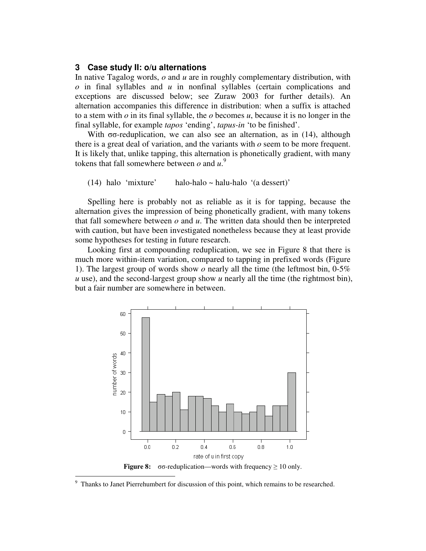## **3 Case study II: o/u alternations**

In native Tagalog words, *o* and *u* are in roughly complementary distribution, with *o* in final syllables and *u* in nonfinal syllables (certain complications and exceptions are discussed below; see Zuraw 2003 for further details). An alternation accompanies this difference in distribution: when a suffix is attached to a stem with *o* in its final syllable, the *o* becomes *u*, because it is no longer in the final syllable, for example *tapos* 'ending', *tapus-in* 'to be finished'.

With  $\sigma\sigma$ -reduplication, we can also see an alternation, as in (14), although there is a great deal of variation, and the variants with *o* seem to be more frequent. It is likely that, unlike tapping, this alternation is phonetically gradient, with many tokens that fall somewhere between  $o$  and  $u^9$ .

#### (14) halo 'mixture' halo-halo ~ halu-halo '(a dessert)'

Spelling here is probably not as reliable as it is for tapping, because the alternation gives the impression of being phonetically gradient, with many tokens that fall somewhere between *o* and *u*. The written data should then be interpreted with caution, but have been investigated nonetheless because they at least provide some hypotheses for testing in future research.

Looking first at compounding reduplication, we see in Figure 8 that there is much more within-item variation, compared to tapping in prefixed words (Figure 1). The largest group of words show *o* nearly all the time (the leftmost bin, 0-5% *u* use), and the second-largest group show *u* nearly all the time (the rightmost bin), but a fair number are somewhere in between.



Thanks to Janet Pierrehumbert for discussion of this point, which remains to be researched.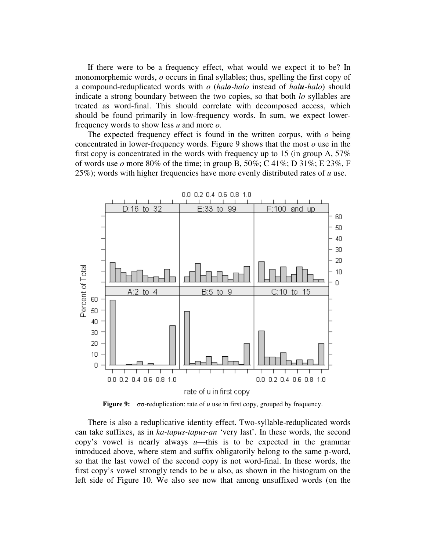If there were to be a frequency effect, what would we expect it to be? In monomorphemic words, *o* occurs in final syllables; thus, spelling the first copy of a compound-reduplicated words with *o* (*halo-halo* instead of *halu-halo*) should indicate a strong boundary between the two copies, so that both *lo* syllables are treated as word-final. This should correlate with decomposed access, which should be found primarily in low-frequency words. In sum, we expect lowerfrequency words to show less *u* and more *o*.

The expected frequency effect is found in the written corpus, with *o* being concentrated in lower-frequency words. Figure 9 shows that the most *o* use in the first copy is concentrated in the words with frequency up to 15 (in group A, 57% of words use  $o$  more 80% of the time; in group B, 50%; C 41%; D 31%; E 23%, F 25%); words with higher frequencies have more evenly distributed rates of *u* use.



**Figure 9:**  $\sigma\sigma$ -reduplication: rate of *u* use in first copy, grouped by frequency.

There is also a reduplicative identity effect. Two-syllable-reduplicated words can take suffixes, as in *ka-tapus-tapus-an* 'very last'. In these words, the second copy's vowel is nearly always  $u$ —this is to be expected in the grammar introduced above, where stem and suffix obligatorily belong to the same p-word, so that the last vowel of the second copy is not word-final. In these words, the first copy's vowel strongly tends to be *u* also, as shown in the histogram on the left side of Figure 10. We also see now that among unsuffixed words (on the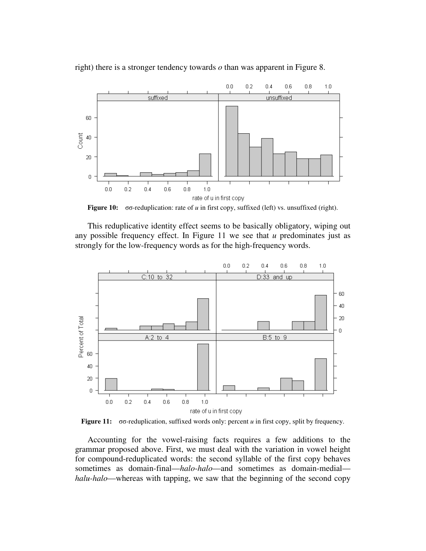

right) there is a stronger tendency towards *o* than was apparent in Figure 8.

**Figure 10:** σσ-reduplication: rate of *u* in first copy, suffixed (left) vs. unsuffixed (right).

This reduplicative identity effect seems to be basically obligatory, wiping out any possible frequency effect. In Figure 11 we see that *u* predominates just as strongly for the low-frequency words as for the high-frequency words.



**Figure 11:**  $\sigma\sigma$ -reduplication, suffixed words only: percent *u* in first copy, split by frequency.

Accounting for the vowel-raising facts requires a few additions to the grammar proposed above. First, we must deal with the variation in vowel height for compound-reduplicated words: the second syllable of the first copy behaves sometimes as domain-final—*halo-halo*—and sometimes as domain-medial *halu-halo*—whereas with tapping, we saw that the beginning of the second copy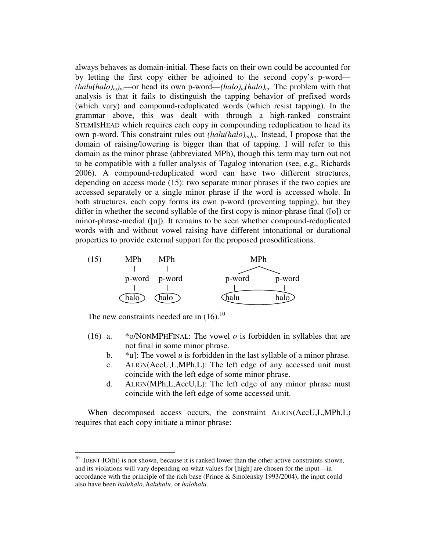always behaves as domain-initial. These facts on their own could be accounted for by letting the first copy either be adjoined to the second copy's p-word—  $(halu(halo)_{\omega})_{\omega}$ —or head its own p-word— $(halo)_{\omega}(halo)_{\omega}$ . The problem with that analysis is that it fails to distinguish the tapping behavior of prefixed words (which vary) and compound-reduplicated words (which resist tapping). In the grammar above, this was dealt with through a high-ranked constraint STEMISHEAD which requires each copy in compounding reduplication to head its own p-word. This constraint rules out  $(halu(halo)_{\omega})_{\omega}$ . Instead, I propose that the domain of raising/lowering is bigger than that of tapping. I will refer to this domain as the minor phrase (abbreviated MPh), though this term may turn out not to be compatible with a fuller analysis of Tagalog intonation (see, e.g., Richards 2006). A compound-reduplicated word can have two different structures, depending on access mode (15): two separate minor phrases if the two copies are accessed separately or a single minor phrase if the word is accessed whole. In both structures, each copy forms its own p-word (preventing tapping), but they differ in whether the second syllable of the first copy is minor-phrase final ([o]) or minor-phrase-medial ([u]). It remains to be seen whether compound-reduplicated words with and without vowel raising have different intonational or durational properties to provide external support for the proposed prosodifications.



The new constraints needed are in  $(16)$ .<sup>10</sup>

- (16) a. \*o/NONMPHFINAL: The vowel  $o$  is forbidden in syllables that are not final in some minor phrase.
	- b. \*u]: The vowel *u* is forbidden in the last syllable of a minor phrase.
	- c. ALIGN(AccU,L,MPh,L): The left edge of any accessed unit must coincide with the left edge of some minor phrase.
	- d. ALIGN(MPh,L,AccU,L): The left edge of any minor phrase must coincide with the left edge of some accessed unit.

When decomposed access occurs, the constraint ALIGN(AccU,L,MPh,L) requires that each copy initiate a minor phrase:

 $10$  IDENT-IO(hi) is not shown, because it is ranked lower than the other active constraints shown, and its violations will vary depending on what values for [high] are chosen for the input—in accordance with the principle of the rich base (Prince & Smolensky 1993/2004), the input could also have been *haluhalo*, *haluhalu*, or *halohalu*.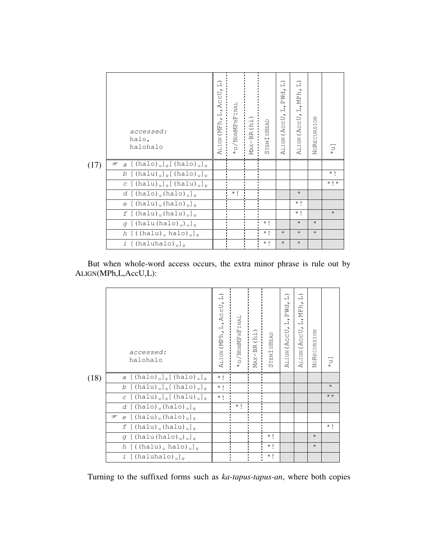|      | accessed:<br>halo,<br>halohalo                                                                                                                                 | $\widehat{\Box}$<br>AccU,<br>$\dot{a}$<br>ALIGN (MPh, | NONMPHFINAL | MAX-BR(hi) | STEMISHEAD        | $\widehat{\Box}$<br>PWd.<br>$\hat{\mathbf{x}}$<br>司<br>$\sim$<br>UC<br>ALIGN (AC | $\widehat{\Box}$<br>ALIGN (ACCU, L, MPh, | <b>S</b><br>NORECURSI | $\Gamma^*$ |
|------|----------------------------------------------------------------------------------------------------------------------------------------------------------------|-------------------------------------------------------|-------------|------------|-------------------|----------------------------------------------------------------------------------|------------------------------------------|-----------------------|------------|
| (17) | a $[$ (halo) <sub><math>\omega</math></sub> ] <sub><math>\varphi</math></sub> $[$ (halo) <sub><math>\omega</math></sub> ] <sub><math>\varphi</math></sub><br>☞ |                                                       |             |            |                   |                                                                                  |                                          |                       |            |
|      | b $[$ (halu) $_{\omega}$ ] $_{\varphi}$ [ (halo) $_{\omega}$ ] $_{\varphi}$                                                                                    |                                                       |             |            |                   |                                                                                  |                                          |                       | $\star$ 1  |
|      | $C$ [(halu) <sub><math>\omega</math></sub> ] <sub><math>\varphi</math></sub> [(halu) <sub><math>\omega</math></sub> ] <sub><math>\varphi</math></sub>          |                                                       |             |            |                   |                                                                                  |                                          |                       | $*$ ! *    |
|      | $d$ [(halo) <sub><math>\omega</math></sub> (halo) <sub><math>\omega</math></sub> ] <sub><math>\phi</math></sub>                                                |                                                       | $\star$ 1   |            |                   |                                                                                  | $\star$                                  |                       |            |
|      | $e$ [(halu) <sub><math>\omega</math></sub> (halo) <sub><math>\omega</math></sub> ] <sub><math>\phi</math></sub>                                                |                                                       |             |            |                   |                                                                                  | $\star$ !                                |                       |            |
|      | $f$ [(halu) <sub><math>\omega</math></sub> (halu) <sub><math>\omega</math></sub> ] <sub><math>\phi</math></sub>                                                |                                                       |             |            |                   |                                                                                  | $\star$ !                                |                       | $\star$    |
|      | $q$ [(halu(halo) <sub>ω</sub> ) <sub>ω</sub> ] <sub>φ</sub>                                                                                                    |                                                       |             |            | $\star$ $\,$ $\,$ |                                                                                  | $\star$                                  | $\star$               |            |
|      | $h$ [((halu) <sub><math>\omega</math></sub> halo) $_{\omega}$ ] <sub><math>\varphi</math></sub>                                                                |                                                       |             |            | $\star$ 1         | $\star$                                                                          | $\star$                                  | $\star$               |            |
|      | $i$ [(haluhalo) <sub><math>\omega</math></sub> ] <sub><math>\phi</math></sub>                                                                                  |                                                       |             |            | $\star$ 1         | $\star$                                                                          | $\star$                                  |                       |            |

But when whole-word access occurs, the extra minor phrase is rule out by ALIGN(MPh,L,AccU,L):

|      | accessed:<br>halohalo                                                                                                                                 | $\widehat{=}$<br>ALIGN (MPh, L, ACCU, | $\star$ o/Non<br>MPHF $\texttt{INAL}$ | $\begin{array}{c} \texttt{MAX-BR (hi1)}\\ \texttt{} \end{array}$ | STEMISHEAD | $\Box$<br>PWd<br>$\Box$<br>Þ<br>O.<br>U<br>$\overline{\mathfrak{L}}$<br>ALIGN | $\widehat{=}$<br>MP <sub>h</sub><br>$\overline{a}$<br>UC<br>$\circ$<br>$\tilde{A}$<br>ALIGN | $\lesssim$<br>NORECURSI | $\lfloor \mu \rfloor$ |
|------|-------------------------------------------------------------------------------------------------------------------------------------------------------|---------------------------------------|---------------------------------------|------------------------------------------------------------------|------------|-------------------------------------------------------------------------------|---------------------------------------------------------------------------------------------|-------------------------|-----------------------|
| (18) | $a$ [(halo) <sub><math>\omega</math></sub> ] <sub><math>\varphi</math></sub> [(halo) <sub><math>\omega</math></sub> ] <sub><math>\varphi</math></sub> | $\star$ !                             |                                       |                                                                  |            |                                                                               |                                                                                             |                         |                       |
|      | b $[$ (halu) $_{\omega}$ ] $_{\varphi}$ [ (halo) $_{\omega}$ ] $_{\varphi}$                                                                           | $\star$ !                             |                                       |                                                                  |            |                                                                               |                                                                                             |                         | $\star$               |
|      | $C$ [(halu) <sub><math>\omega</math></sub> ] <sub><math>\varphi</math></sub> [(halu) <sub><math>\omega</math></sub> ] <sub><math>\varphi</math></sub> | $\star$ !                             |                                       |                                                                  |            |                                                                               |                                                                                             |                         | $\star\star$          |
|      | $d$ [(halo) <sub>ω</sub> (halo) <sub>ω</sub> ] <sub>ω</sub>                                                                                           |                                       | $\star$ 1                             |                                                                  |            |                                                                               |                                                                                             |                         |                       |
|      | $e$ [(halu) <sub><math>\omega</math></sub> (halo) <sub><math>\omega</math></sub> ] <sub><math>\phi</math></sub><br>$\circledcirc$                     |                                       |                                       |                                                                  |            |                                                                               |                                                                                             |                         |                       |
|      | $f$ [(halu) <sub><math>\omega</math></sub> (halu) <sub><math>\omega</math></sub> ] <sub><math>\varphi</math></sub>                                    |                                       |                                       |                                                                  |            |                                                                               |                                                                                             |                         | $\star$ 1             |
|      | $g$ [(halu(halo) <sub>ω</sub> ) <sub>ω</sub> ] <sub>φ</sub>                                                                                           |                                       |                                       |                                                                  | $\star$ 1  |                                                                               |                                                                                             | $\star$                 |                       |
|      | $h$ [((halu) <sub><math>\omega</math></sub> halo) $_{\omega}$ ] <sub><math>\varphi</math></sub>                                                       |                                       |                                       |                                                                  | $\star$ 1  |                                                                               |                                                                                             | $\star$                 |                       |
|      | $i$ [(haluhalo) <sub><math>\omega</math></sub> ] <sub><math>\omega</math></sub>                                                                       |                                       | $\blacksquare$<br>$\blacksquare$      |                                                                  | $\star$ i  |                                                                               |                                                                                             |                         |                       |

Turning to the suffixed forms such as *ka-tapus-tapus-an*, where both copies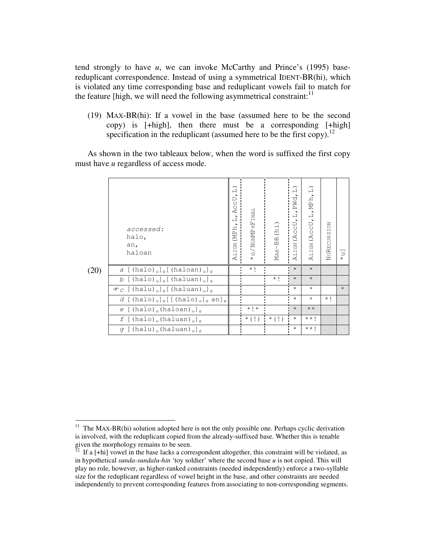tend strongly to have *u*, we can invoke McCarthy and Prince's (1995) basereduplicant correspondence. Instead of using a symmetrical IDENT-BR(hi), which is violated any time corresponding base and reduplicant vowels fail to match for the feature [high, we will need the following asymmetrical constraint:<sup>11</sup>

(19) MAX-BR(hi): If a vowel in the base (assumed here to be the second copy) is [+high], then there must be a corresponding [+high] specification in the reduplicant (assumed here to be the first copy).<sup>12</sup>

As shown in the two tableaux below, when the word is suffixed the first copy must have *u* regardless of access mode.

|      | accessed:<br>halo,<br>an,                                                                                                                                                                  | $\Box$<br>AccU<br>Ē<br>ALIGN (MPh | WONNERFINAL       | MAX-BR (hi)   | $\widehat{\Box}$<br>PWd<br>$\overline{\phantom{a}}$<br>$\vdash$<br>ALIGN (ACCU | $\widehat{=}$<br>ALIGN (ACCU, L, MPh, | NORECURSION |                             |
|------|--------------------------------------------------------------------------------------------------------------------------------------------------------------------------------------------|-----------------------------------|-------------------|---------------|--------------------------------------------------------------------------------|---------------------------------------|-------------|-----------------------------|
|      | haloan                                                                                                                                                                                     |                                   |                   |               |                                                                                |                                       |             | $\stackrel{\square}{\star}$ |
| (20) | $a$ [(halo) <sub><math>\omega</math></sub> ] <sub><math>\varphi</math></sub> [(haloan) <sub><math>\omega</math></sub> ] <sub><math>\varphi</math></sub>                                    |                                   | $\star$ 1         |               | $\star$                                                                        | $\star$                               |             |                             |
|      | b $[$ (halo) <sub><math>\omega</math></sub> $]_{\varphi}$ [ (haluan) $_{\omega}$ ] <sub><math>_{\varphi}</math></sub>                                                                      |                                   |                   | $\star$ 1     | $\star$                                                                        | $\star$                               |             |                             |
|      | $\mathcal{F}_C$ [(halu) <sub><math>\omega</math></sub> ] <sub><math>\varphi</math></sub> [(haluan) <sub><math>\omega</math></sub> ] <sub><math>\varphi</math></sub>                        |                                   |                   |               | $\star$                                                                        | $\star$                               |             | $\star$                     |
|      | $d$ [(halo) <sub><math>\omega</math></sub> ] <sub><math>\varphi</math></sub> [[(halo) <sub><math>\omega</math></sub> ] <sub><math>\varphi</math></sub> an] <sub><math>\varphi</math></sub> |                                   |                   |               | $\star$                                                                        | $\star$                               | $\star$ 1   |                             |
|      | $e$ [(halo) <sub><math>\omega</math></sub> (haloan) <sub><math>\omega</math></sub> ] <sub><math>\phi</math></sub>                                                                          |                                   | $\star$ ! $\star$ |               | $\star$                                                                        | $\star\star$                          |             |                             |
|      | $f$ [(halo) <sub><math>\omega</math></sub> (haluan) <sub><math>\omega</math></sub> ] <sub><math>\phi</math></sub>                                                                          |                                   | $*$ (!)           | $\cdot$ * (!) | $\star$                                                                        | $\star \star$ 1                       |             |                             |
|      | $q$ [(halu) (haluan) $_0$ ] $_0$                                                                                                                                                           |                                   |                   |               | $\star$                                                                        | $\star \star$ 1                       |             |                             |

<sup>&</sup>lt;sup>11</sup> The MAX-BR(hi) solution adopted here is not the only possible one. Perhaps cyclic derivation is involved, with the reduplicant copied from the already-suffixed base. Whether this is tenable given the morphology remains to be seen.

If a [+hi] vowel in the base lacks a correspondent altogether, this constraint will be violated, as in hypothetical *sunda-sundalu-hin* 'toy soldier' where the second base *u* is not copied. This will play no role, however, as higher-ranked constraints (needed independently) enforce a two-syllable size for the reduplicant regardless of vowel height in the base, and other constraints are needed independently to prevent corresponding features from associating to non-corresponding segments.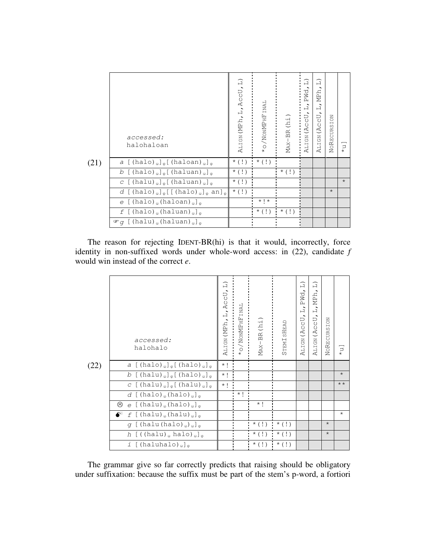|      | accessed:<br>halohaloan                                                                                                                                                                    | ALIGN (MPh, L, ACCU, L | WONNERFINAL | MAX-BR(hi)    | $\widehat{=}$<br>PWd,<br>$\frac{1}{2}$<br>ALIGN (ACCU | $\widehat{\Box}$<br>MPh,<br>$\frac{1}{11}$<br>ALIGN (ACCU | NORECURSION | $\supset$<br>$\star$ |
|------|--------------------------------------------------------------------------------------------------------------------------------------------------------------------------------------------|------------------------|-------------|---------------|-------------------------------------------------------|-----------------------------------------------------------|-------------|----------------------|
| (21) | $a$ [(halo) <sub><math>\omega</math></sub> ] <sub><math>\varphi</math></sub> [(haloan) <sub><math>\omega</math></sub> ] <sub><math>\varphi</math></sub>                                    | $\star$ (!)            | $\star$ (!) |               |                                                       |                                                           |             |                      |
|      | b $[$ (halo) <sub><math>\omega</math></sub> $]$ <sub><math>\varphi</math></sub> $[$ (haluan) <sub><math>\omega</math></sub> $]$ <sub><math>\varphi</math></sub>                            | $\star$ (!)            |             | $\star$ (!)   |                                                       |                                                           |             |                      |
|      | $C$ [(halu) <sub>a</sub> ] <sub><math>\varphi</math></sub> [(haluan) <sub>a</sub> ] <sub><math>\varphi</math></sub>                                                                        | $\star$ (!)            |             |               |                                                       |                                                           |             | $\star$              |
|      | $d$ [(halo) <sub><math>\omega</math></sub> ] <sub><math>\varphi</math></sub> [[(halo) <sub><math>\omega</math></sub> ] <sub><math>\varphi</math></sub> an] <sub><math>\varphi</math></sub> | $\star$ (!)            |             |               |                                                       |                                                           | $\star$     |                      |
|      | $e$ [(halo) <sub><math>\omega</math></sub> (haloan) <sub><math>\omega</math></sub> ] <sub><math>\omega</math></sub>                                                                        |                        | $*$   $*$   |               |                                                       |                                                           |             |                      |
|      | $f$ [(halo) <sub>ω</sub> (haluan) <sub>ω</sub> ] <sub>ω</sub>                                                                                                                              |                        | $*$ (!)     | $\cdot$ * (!) |                                                       |                                                           |             |                      |
|      | $\mathcal{F}$ q [(halu) (haluan) (] (                                                                                                                                                      |                        |             |               |                                                       |                                                           |             |                      |

The reason for rejecting IDENT-BR(hi) is that it would, incorrectly, force identity in non-suffixed words under whole-word access: in (22), candidate *f* would win instead of the correct *e*.

|      | accessed:<br>halohalo                                                                                                                                 | $\Box$<br>AccU<br>$\overline{a}$<br>ALIGN (MPh | NONMPHFINAL | MAX-BR (hi)             | STEMISHEAD      | $\widehat{=}$<br>PWd,<br>$\frac{1}{2}$<br>(AccU,<br><b>ALIGN</b> | $\widehat{\Box}$<br>MPh <sub>.</sub><br>.<br>니<br>IJ<br>(AC)<br><b>ALIGN</b> | <b>NORECURSION</b> | $\stackrel{\square}{\star}$ |
|------|-------------------------------------------------------------------------------------------------------------------------------------------------------|------------------------------------------------|-------------|-------------------------|-----------------|------------------------------------------------------------------|------------------------------------------------------------------------------|--------------------|-----------------------------|
| (22) | $a$ [(halo) <sub>ω</sub> ] <sub>φ</sub> [(halo) <sub>ω</sub> ] <sub>φ</sub>                                                                           | $\star$ !                                      |             |                         |                 |                                                                  |                                                                              |                    |                             |
|      | b $[$ (halu) $_{\omega}$ ] $_{\varphi}$ [ (halo) $_{\omega}$ ] $_{\varphi}$                                                                           | $\star$ !                                      |             |                         |                 |                                                                  |                                                                              |                    | $\star$                     |
|      | $C$ [(halu) <sub><math>\omega</math></sub> ] <sub><math>\varphi</math></sub> [(halu) <sub><math>\omega</math></sub> ] <sub><math>\varphi</math></sub> | $\star$ !                                      |             |                         |                 |                                                                  |                                                                              |                    | $\star\star$                |
|      | $d$ [(halo) <sub>ω</sub> (halo) <sub>ω</sub> ] <sub>φ</sub>                                                                                           |                                                | $\star$ 1   |                         |                 |                                                                  |                                                                              |                    |                             |
|      | ☺<br>$e$ [(halu) <sub>a</sub> (halo) <sub>a</sub> ] <sub><math>\sigma</math></sub>                                                                    |                                                |             | $\star$ 1               |                 |                                                                  |                                                                              |                    |                             |
|      | $\bullet^*$ f [(halu) <sub>ω</sub> (halu) <sub>ω</sub> ] <sub>φ</sub>                                                                                 |                                                |             |                         |                 |                                                                  |                                                                              |                    | $\star$                     |
|      | $g$ [(halu(halo) <sub>ω</sub> ) <sub>ω</sub> ] <sub>φ</sub>                                                                                           |                                                |             | $*(!)$ $*(!)$           |                 |                                                                  |                                                                              | $\star$            |                             |
|      | $h$ [((halu) <sub>ω</sub> halo) <sub>ω</sub> ] <sub>φ</sub>                                                                                           |                                                |             | $\star$ (!)             | $\cdot$ $*$ (!) |                                                                  |                                                                              | $\star$            |                             |
|      | $i$ [(haluhalo) <sub><math>\omega</math></sub> ] <sub><math>\varphi</math></sub>                                                                      |                                                |             | $\star$ (!) $\star$ (!) |                 |                                                                  |                                                                              |                    |                             |

The grammar give so far correctly predicts that raising should be obligatory under suffixation: because the suffix must be part of the stem's p-word, a fortiori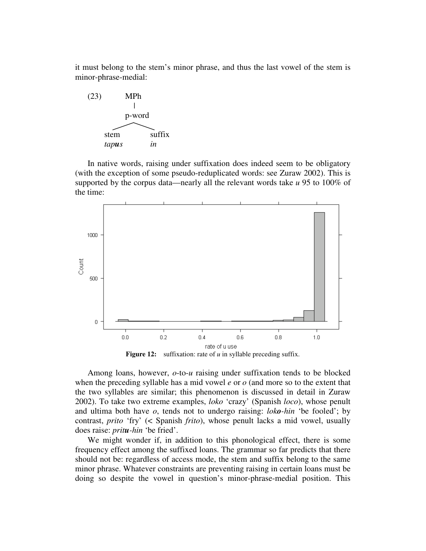it must belong to the stem's minor phrase, and thus the last vowel of the stem is minor-phrase-medial:



In native words, raising under suffixation does indeed seem to be obligatory (with the exception of some pseudo-reduplicated words: see Zuraw 2002). This is supported by the corpus data—nearly all the relevant words take *u* 95 to 100% of the time:



**Figure 12:** suffixation: rate of *u* in syllable preceding suffix.

Among loans, however, *o*-to-*u* raising under suffixation tends to be blocked when the preceding syllable has a mid vowel *e* or *o* (and more so to the extent that the two syllables are similar; this phenomenon is discussed in detail in Zuraw 2002). To take two extreme examples, *loko* 'crazy' (Spanish *loco*), whose penult and ultima both have *o*, tends not to undergo raising: *loko-hin* 'be fooled'; by contrast, *prito* 'fry' (< Spanish *frito*), whose penult lacks a mid vowel, usually does raise: *pritu-hin* 'be fried'.

We might wonder if, in addition to this phonological effect, there is some frequency effect among the suffixed loans. The grammar so far predicts that there should not be: regardless of access mode, the stem and suffix belong to the same minor phrase. Whatever constraints are preventing raising in certain loans must be doing so despite the vowel in question's minor-phrase-medial position. This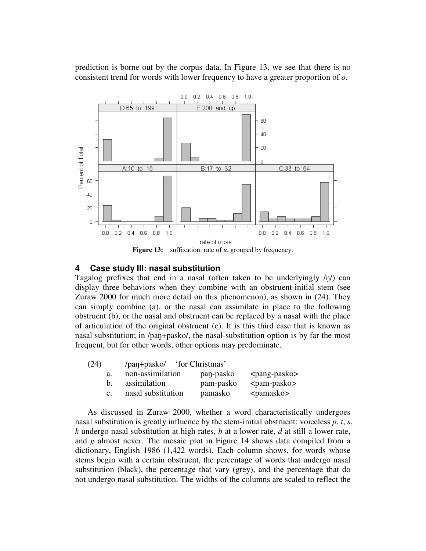prediction is borne out by the corpus data. In Figure 13, we see that there is no consistent trend for words with lower frequency to have a greater proportion of *o*.



## **4 Case study III: nasal substitution**

Tagalog prefixes that end in a nasal (often taken to be underlyingly  $/η$ ) can display three behaviors when they combine with an obstruent-initial stem (see Zuraw 2000 for much more detail on this phenomenon), as shown in (24). They can simply combine (a), or the nasal can assimilate in place to the following obstruent (b), or the nasal and obstruent can be replaced by a nasal with the place of articulation of the original obstruent (c). It is this third case that is known as nasal substitution; in /pan+pasko/, the nasal-substitution option is by far the most frequent, but for other words, other options may predominate.

| (24) | /pan+pasko/                          | for Christmas' |                     |
|------|--------------------------------------|----------------|---------------------|
| a.   | non-assimilation                     | pan-pasko      | $<$ pang-pasko $>$  |
| b.   | assimilation                         | pam-pasko      | $<$ pam-pasko $>$   |
|      | nasal substitution<br>$\mathbf{C}$ . | pamasko        | <pamasko></pamasko> |

As discussed in Zuraw 2000, whether a word characteristically undergoes nasal substitution is greatly influence by the stem-initial obstruent: voiceless *p*, *t*, *s*, *k* undergo nasal substitution at high rates, *b* at a lower rate, *d* at still a lower rate, and *g* almost never. The mosaic plot in Figure 14 shows data compiled from a dictionary, English 1986 (1,422 words). Each column shows, for words whose stems begin with a certain obstruent, the percentage of words that undergo nasal substitution (black), the percentage that vary (grey), and the percentage that do not undergo nasal substitution. The widths of the columns are scaled to reflect the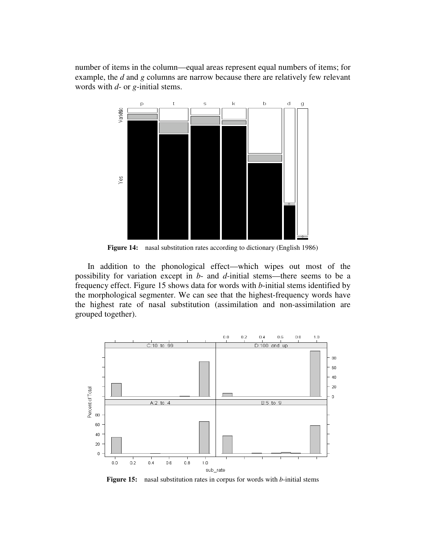number of items in the column—equal areas represent equal numbers of items; for example, the *d* and *g* columns are narrow because there are relatively few relevant words with *d*- or *g*-initial stems.



**Figure 14:** nasal substitution rates according to dictionary (English 1986)

In addition to the phonological effect—which wipes out most of the possibility for variation except in *b*- and *d*-initial stems—there seems to be a frequency effect. Figure 15 shows data for words with *b*-initial stems identified by the morphological segmenter. We can see that the highest-frequency words have the highest rate of nasal substitution (assimilation and non-assimilation are grouped together).



**Figure 15:** nasal substitution rates in corpus for words with *b*-initial stems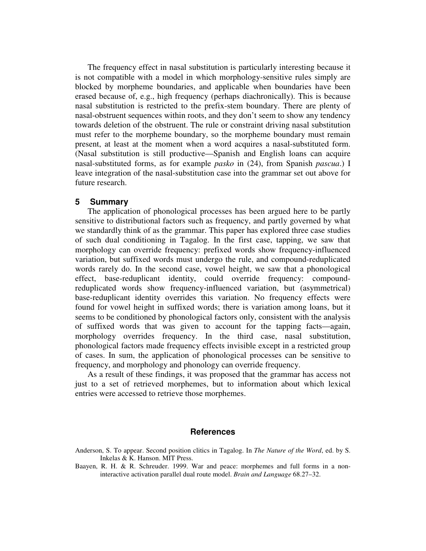The frequency effect in nasal substitution is particularly interesting because it is not compatible with a model in which morphology-sensitive rules simply are blocked by morpheme boundaries, and applicable when boundaries have been erased because of, e.g., high frequency (perhaps diachronically). This is because nasal substitution is restricted to the prefix-stem boundary. There are plenty of nasal-obstruent sequences within roots, and they don't seem to show any tendency towards deletion of the obstruent. The rule or constraint driving nasal substitution must refer to the morpheme boundary, so the morpheme boundary must remain present, at least at the moment when a word acquires a nasal-substituted form. (Nasal substitution is still productive—Spanish and English loans can acquire nasal-substituted forms, as for example *pasko* in (24), from Spanish *pascua*.) I leave integration of the nasal-substitution case into the grammar set out above for future research.

## **5 Summary**

The application of phonological processes has been argued here to be partly sensitive to distributional factors such as frequency, and partly governed by what we standardly think of as the grammar. This paper has explored three case studies of such dual conditioning in Tagalog. In the first case, tapping, we saw that morphology can override frequency: prefixed words show frequency-influenced variation, but suffixed words must undergo the rule, and compound-reduplicated words rarely do. In the second case, vowel height, we saw that a phonological effect, base-reduplicant identity, could override frequency: compoundreduplicated words show frequency-influenced variation, but (asymmetrical) base-reduplicant identity overrides this variation. No frequency effects were found for vowel height in suffixed words; there is variation among loans, but it seems to be conditioned by phonological factors only, consistent with the analysis of suffixed words that was given to account for the tapping facts—again, morphology overrides frequency. In the third case, nasal substitution, phonological factors made frequency effects invisible except in a restricted group of cases. In sum, the application of phonological processes can be sensitive to frequency, and morphology and phonology can override frequency.

As a result of these findings, it was proposed that the grammar has access not just to a set of retrieved morphemes, but to information about which lexical entries were accessed to retrieve those morphemes.

## **References**

Anderson, S. To appear. Second position clitics in Tagalog. In *The Nature of the Word*, ed. by S. Inkelas & K. Hanson. MIT Press.

Baayen, R. H. & R. Schreuder. 1999. War and peace: morphemes and full forms in a noninteractive activation parallel dual route model. *Brain and Language* 68.27–32.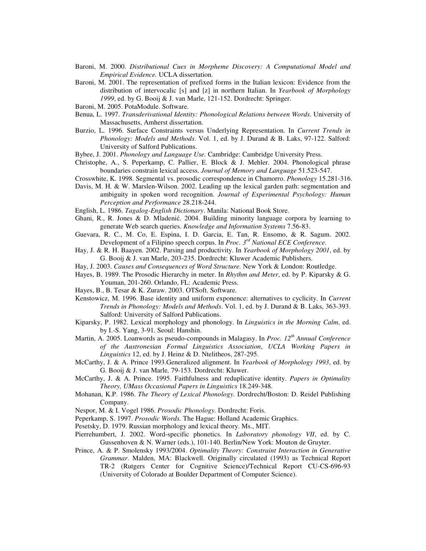- Baroni, M. 2000. *Distributional Cues in Morpheme Discovery: A Computational Model and Empirical Evidence.* UCLA dissertation.
- Baroni, M. 2001. The representation of prefixed forms in the Italian lexicon: Evidence from the distribution of intervocalic [s] and [z] in northern Italian. In *Yearbook of Morphology 1999*, ed. by G. Booij & J. van Marle, 121-152. Dordrecht: Springer.
- Baroni, M. 2005. PotaModule. Software.
- Benua, L. 1997. *Transderivational Identity: Phonological Relations between Words*. University of Massachusetts, Amherst dissertation.
- Burzio, L. 1996. Surface Constraints versus Underlying Representation. In *Current Trends in Phonology: Models and Methods*. Vol. 1, ed. by J. Durand & B. Laks, 97-122. Salford: University of Salford Publications.
- Bybee, J. 2001. *Phonology and Language Use.* Cambridge: Cambridge University Press.
- Christophe, A., S. Peperkamp, C. Pallier, E. Block & J. Mehler. 2004. Phonological phrase boundaries constrain lexical access. *Journal of Memory and Language* 51.523-547.
- Crosswhite, K. 1998. Segmental vs. prosodic correspondence in Chamorro. *Phonology* 15.281-316.
- Davis, M. H. & W. Marslen-Wilson. 2002. Leading up the lexical garden path: segmentation and ambiguity in spoken word recognition. *Journal of Experimental Psychology: Human Perception and Performance* 28.218-244.
- English, L. 1986. *Tagalog-English Dictionary*. Manila: National Book Store.
- Ghani, R., R. Jones & D. Mladenić. 2004. Building minority language corpora by learning to generate Web search queries. *Knowledge and Information Systems* 7.56-83.
- Guevara, R. C., M. Co, E. Espina, I. D. Garcia, E. Tan, R. Ensomo, & R. Sagum. 2002. Development of a Filipino speech corpus. In *Proc. 3 rd National ECE Conference*.
- Hay, J. & R. H. Baayen. 2002. Parsing and productivity. In *Yearbook of Morphology 2001*, ed. by G. Booij & J. van Marle, 203-235. Dordrecht: Kluwer Academic Publishers.
- Hay, J. 2003. *Causes and Consequences of Word Structure.* New York & London: Routledge.
- Hayes, B. 1989. The Prosodic Hierarchy in meter. In *Rhythm and Meter*, ed. by P. Kiparsky & G. Youman, 201-260. Orlando, FL: Academic Press.
- Hayes, B., B. Tesar & K. Zuraw. 2003. OTSoft. Software.
- Kenstowicz, M. 1996. Base identity and uniform exponence: alternatives to cyclicity. In *Current Trends in Phonology: Models and Methods*. Vol. 1, ed. by J. Durand & B. Laks, 363-393. Salford: University of Salford Publications.
- Kiparsky, P. 1982. Lexical morphology and phonology. In *Linguistics in the Morning Calm*, ed. by I.-S. Yang, 3-91. Seoul: Hanshin.
- Martin, A. 2005. Loanwords as pseudo-compounds in Malagasy. In *Proc. 12 th Annual Conference of the Austronesian Formal Linguistics Association*, *UCLA Working Papers in Linguistics* 12, ed. by J. Heinz & D. Ntelitheos, 287-295.
- McCarthy, J. & A. Prince 1993.Generalized alignment. In *Yearbook of Morphology 1993*, ed. by G. Booij & J. van Marle*,* 79-153. Dordrecht: Kluwer.
- McCarthy, J. & A. Prince. 1995. Faithfulness and reduplicative identity. *Papers in Optimality Theory, UMass Occasional Papers in Linguistics* 18.249-348.
- Mohanan, K.P. 1986. *The Theory of Lexical Phonology*. Dordrecht/Boston: D. Reidel Publishing Company.
- Nespor, M. & I. Vogel 1986. *Prosodic Phonology.* Dordrecht: Foris.
- Peperkamp, S. 1997. *Prosodic Words.* The Hague: Holland Academic Graphics.
- Pesetsky, D. 1979. Russian morphology and lexical theory. Ms., MIT.
- Pierrehumbert, J. 2002. Word-specific phonetics. In *Laboratory phonology VII*, ed. by C. Gussenhoven & N. Warner (eds.), 101-140. Berlin/New York: Mouton de Gruyter.
- Prince, A. & P. Smolensky 1993/2004. *Optimality Theory: Constraint Interaction in Generative Grammar*. Malden, MA: Blackwell. Originally circulated (1993) as Technical Report TR-2 (Rutgers Center for Cognitive Science)/Technical Report CU-CS-696-93 (University of Colorado at Boulder Department of Computer Science).